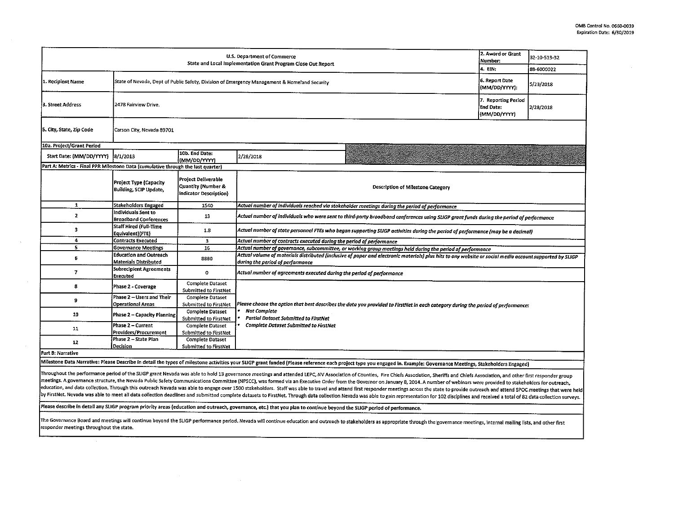| U.S. Department of Commerce<br>State and Local Implementation Grant Program Close Out Report |                                                                                                                                 |                                                                            |                                                                                                                                                                                                          |                                                                                                                                                                                                                       | 2. Award or Grant<br>Number:                     | 32-10-513-32 |  |  |
|----------------------------------------------------------------------------------------------|---------------------------------------------------------------------------------------------------------------------------------|----------------------------------------------------------------------------|----------------------------------------------------------------------------------------------------------------------------------------------------------------------------------------------------------|-----------------------------------------------------------------------------------------------------------------------------------------------------------------------------------------------------------------------|--------------------------------------------------|--------------|--|--|
|                                                                                              |                                                                                                                                 |                                                                            |                                                                                                                                                                                                          | 4. EIN.                                                                                                                                                                                                               | 88-6000022                                       |              |  |  |
| 1. Recipient Name                                                                            | 6. Report Date<br>State of Nevada, Dept of Public Safety, Division of Emergency Management & Homeland Security<br>(MM/DD/YYYY): |                                                                            |                                                                                                                                                                                                          |                                                                                                                                                                                                                       |                                                  | 5/23/2018    |  |  |
| 3. Street Address                                                                            | 2478 Fairview Drive.                                                                                                            |                                                                            |                                                                                                                                                                                                          |                                                                                                                                                                                                                       | 7. Reporting Period<br>End Date:<br>(MM/DD/YYYY) | 2/28/2018    |  |  |
| 5. City, State, Zip Code                                                                     | Carson City, Nevada 89701                                                                                                       |                                                                            |                                                                                                                                                                                                          |                                                                                                                                                                                                                       |                                                  |              |  |  |
| 10a. Project/Grant Period                                                                    |                                                                                                                                 |                                                                            |                                                                                                                                                                                                          |                                                                                                                                                                                                                       |                                                  |              |  |  |
| Start Date: (MM/DD/YYYY)                                                                     | 8/1/2013                                                                                                                        | 10b. End Date:<br>(MM/DD/YYYY)                                             | 2/28/2018                                                                                                                                                                                                |                                                                                                                                                                                                                       |                                                  |              |  |  |
| Part A: Metrics - Final PPR Milestone Data (cumulative through the last quarter)             |                                                                                                                                 |                                                                            |                                                                                                                                                                                                          |                                                                                                                                                                                                                       |                                                  |              |  |  |
|                                                                                              | Project Type (Capacity<br><b>Building, SCIP Update,</b>                                                                         | <b>Project Deliverable</b><br>Quantity (Number &<br>Indicator Description) |                                                                                                                                                                                                          | <b>Description of Milestone Category</b>                                                                                                                                                                              |                                                  |              |  |  |
| $\mathbf{1}$                                                                                 | Stakeholders Engaged                                                                                                            | 1540                                                                       | Actual number of individuals reached via stakeholder meetings during the period of performance                                                                                                           |                                                                                                                                                                                                                       |                                                  |              |  |  |
| $\mathbf{2}$                                                                                 | Individuals Sent to<br><b>Broadband Conferences</b>                                                                             | 13                                                                         | Actual number of individuals who were sent to third-party broadband conferences using SLIGP grant funds during the period of performance                                                                 |                                                                                                                                                                                                                       |                                                  |              |  |  |
| з                                                                                            | Staff Hired (Full-Time<br>Equivalent) (FTE)                                                                                     | 1.8                                                                        | Actual number of state personnel FTEs who began supporting SLIGP activities during the period of performance (may be a decimal)                                                                          |                                                                                                                                                                                                                       |                                                  |              |  |  |
| 4                                                                                            | <b>Contracts Executed</b>                                                                                                       | з                                                                          | Actual number of contracts executed during the period of performance                                                                                                                                     |                                                                                                                                                                                                                       |                                                  |              |  |  |
| 5                                                                                            | <b>Governance Meetings</b>                                                                                                      | 16                                                                         | Actual number of governance, subcommittee, or working group meetings held during the period of performance                                                                                               |                                                                                                                                                                                                                       |                                                  |              |  |  |
| 6                                                                                            | <b>Education and Outreach</b><br>Materials Distributed                                                                          | 8880                                                                       | Actual volume of materials distributed (inclusive of paper and electronic materials) plus hits to any website or social media account supported by SLIGP<br>during the period of performance             |                                                                                                                                                                                                                       |                                                  |              |  |  |
| $\overline{ }$                                                                               | Subrecipient Agreements<br><b>Executed</b>                                                                                      | $\circ$                                                                    | Actual number of agreements executed during the period of performance                                                                                                                                    |                                                                                                                                                                                                                       |                                                  |              |  |  |
| 8                                                                                            | Phase 2 - Coverage                                                                                                              | <b>Complete Dataset</b><br>Submitted to FirstNet                           |                                                                                                                                                                                                          |                                                                                                                                                                                                                       |                                                  |              |  |  |
| 9                                                                                            | Phase 2 - Users and Their<br><b>Operational Areas</b>                                                                           | <b>Complete Dataset</b><br>Submitted to FirstNet                           |                                                                                                                                                                                                          |                                                                                                                                                                                                                       |                                                  |              |  |  |
| 10                                                                                           | <b>Phase 2 - Capacity Planning</b>                                                                                              | Complete Dataset<br>Submitted to FirstNet                                  | Please choose the option that best describes the data you provided to FirstNet in each category during the period of performance:<br><b>Not Complete</b><br><b>Partial Dataset Submitted to FirstNet</b> |                                                                                                                                                                                                                       |                                                  |              |  |  |
| 11                                                                                           | <b>Phase 2 - Current</b><br>Providers/Procurement                                                                               | <b>Complete Dataset</b><br>Submitted to FirstNet                           | <b>Complete Dataset Submitted to FirstNet</b>                                                                                                                                                            |                                                                                                                                                                                                                       |                                                  |              |  |  |
| 12                                                                                           | Phase 2 - State Plan<br>Decision                                                                                                | Complete Dataset<br><b>Submitted to FirstNet</b>                           |                                                                                                                                                                                                          |                                                                                                                                                                                                                       |                                                  |              |  |  |
| Part B: Narrative                                                                            |                                                                                                                                 |                                                                            |                                                                                                                                                                                                          |                                                                                                                                                                                                                       |                                                  |              |  |  |
|                                                                                              |                                                                                                                                 |                                                                            |                                                                                                                                                                                                          | Milestone Data Narrative: Please Describe in detail the types of milestone activities your SLIGP grant funded (Please reference each project type you engaged in. Example: Governance Meetings, Stakeholders Engaged) |                                                  |              |  |  |

Throughout the performance period of the SLIGP grant Nevada was able to hold 13 governance meetings and attended LEPC, NV Association of Counties, Fire Chiefs Association, Sheriffs and Chiefs Association, and other first r meetings. A governance structure, the Nevada Public Safety Communications Committee (NPSCC), was formed via an Executive Order from the Governor on January 8, 2014. A number of webinars were provided to stakeholders for ou education, and data collection. Through this outreach Nevada was able to engage over 1500 stakeholders. Staff was able to travel and attend first responder meetings across the state to provide outreach and attend SPOC meet py FirstNet. Nevada was able to meet all data collection deadlines and submitted complete datasets to FirstNet. Through data collection Nevada was able to gain representation for 102 disciplines and received a total of 82

Please describe in detail any SLIGP program priority areas {education and outreach, governance, etc.I that you plan to continue beyond the SLIGP period of performance.

The Governance Board and meetings will continue beyond the SLIGP performance period. Nevada will continue education and outreach to stakeholders as appropriate through the governance meetings, internal mailing lists, and o responder meetings throughout the state.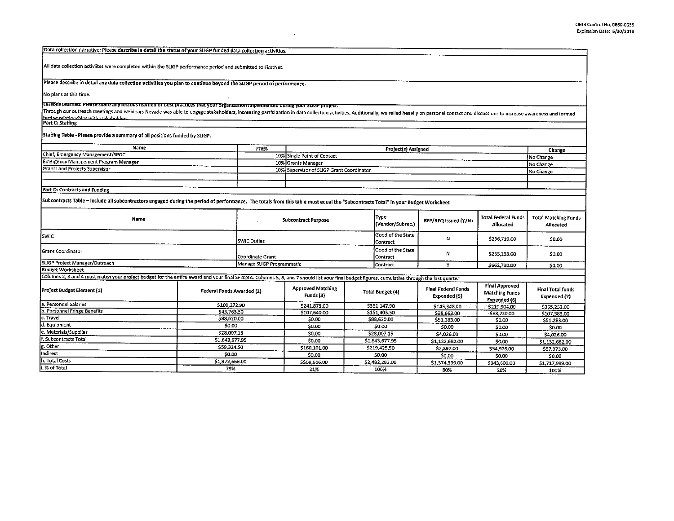| Data collection narrative: Please describe in detail the status of your SLIGP funded data collection activities.                                                                                                               |                                                                                    |                                                                                             |                                           |                               |                            |                                                 |                                                                |                                          |
|--------------------------------------------------------------------------------------------------------------------------------------------------------------------------------------------------------------------------------|------------------------------------------------------------------------------------|---------------------------------------------------------------------------------------------|-------------------------------------------|-------------------------------|----------------------------|-------------------------------------------------|----------------------------------------------------------------|------------------------------------------|
|                                                                                                                                                                                                                                |                                                                                    |                                                                                             |                                           |                               |                            |                                                 |                                                                |                                          |
| All data collection activiites were completed within the SLIGP performance period and submitted to FirstNet.                                                                                                                   |                                                                                    |                                                                                             |                                           |                               |                            |                                                 |                                                                |                                          |
| Please describe in detail any data collection activities you plan to continue beyond the SLIGP period of performance.                                                                                                          |                                                                                    |                                                                                             |                                           |                               |                            |                                                 |                                                                |                                          |
| No plans at this time.                                                                                                                                                                                                         |                                                                                    |                                                                                             |                                           |                               |                            |                                                 |                                                                |                                          |
| ttessons teamed: Please share any lessons learned or best prattites mat your organization implemented during your stileP project:                                                                                              |                                                                                    |                                                                                             |                                           |                               |                            |                                                 |                                                                |                                          |
| Through our outreach meetings and webinars Nevada was able to engage stakeholders, increasing participation in data collection activities. Additionally, we relied heavily on personal contact and discussions to increase awa |                                                                                    |                                                                                             |                                           |                               |                            |                                                 |                                                                |                                          |
| Izsting relationshins with stakeholders<br>Part C: Staffing                                                                                                                                                                    |                                                                                    |                                                                                             |                                           |                               |                            |                                                 |                                                                |                                          |
|                                                                                                                                                                                                                                |                                                                                    |                                                                                             |                                           |                               |                            |                                                 |                                                                |                                          |
| Staffing Table - Please provide a summary of all positions funded by SLIGP.                                                                                                                                                    |                                                                                    |                                                                                             |                                           |                               |                            |                                                 |                                                                |                                          |
| Name                                                                                                                                                                                                                           |                                                                                    | FTE%                                                                                        | Projectis) Assigned                       |                               |                            |                                                 |                                                                | Change                                   |
| Chief, Emergency Management/SPOC                                                                                                                                                                                               |                                                                                    |                                                                                             | 10% Single Point of Contact               |                               |                            |                                                 |                                                                | No Change                                |
| Emergency Management Program Manager                                                                                                                                                                                           |                                                                                    |                                                                                             | 10% Grants Manager                        |                               |                            |                                                 |                                                                | No Change                                |
| Grants and Projects Supervisor                                                                                                                                                                                                 |                                                                                    |                                                                                             | 10% Supervisor of SLIGP Grant Coordinator |                               |                            |                                                 |                                                                | No Change                                |
|                                                                                                                                                                                                                                |                                                                                    |                                                                                             |                                           |                               |                            |                                                 |                                                                |                                          |
|                                                                                                                                                                                                                                |                                                                                    |                                                                                             |                                           |                               |                            |                                                 |                                                                |                                          |
| Part D: Contracts and Funding                                                                                                                                                                                                  |                                                                                    |                                                                                             |                                           |                               |                            |                                                 |                                                                |                                          |
| Subcontracts Table – Include all subcontractors engaged during the period of performance. The totals from this table must equal the "Subcontracts Total" in your Budget Worksheet                                              |                                                                                    |                                                                                             |                                           |                               |                            |                                                 |                                                                |                                          |
| Name                                                                                                                                                                                                                           |                                                                                    | Type<br><b>Subcontract Purpose</b><br>RFP/RFQ Issued (Y/N)<br>(Vendor/Subrec.)<br>Allocated |                                           |                               | <b>Total Federal Funds</b> | <b>Total Matching Funds</b><br><b>Allocated</b> |                                                                |                                          |
| SWIC                                                                                                                                                                                                                           |                                                                                    | <b>SWIC Duties</b>                                                                          |                                           | Good of the State<br>Contract | N                          | \$236,719.00                                    | \$0.00                                                         |                                          |
| Grant Coordinator                                                                                                                                                                                                              | Coordinate Grant                                                                   |                                                                                             |                                           | Good of the State<br>Contract | Ν                          | \$233,233.00                                    | 50.00                                                          |                                          |
| SLIGP Project Manager/Outreach                                                                                                                                                                                                 | Manage SLIGP Programmatic<br>Y<br>Contract<br>\$662,730.00                         |                                                                                             |                                           |                               |                            |                                                 | \$0.00                                                         |                                          |
| <b>Budget Worksheet</b>                                                                                                                                                                                                        |                                                                                    |                                                                                             |                                           |                               |                            |                                                 |                                                                |                                          |
| Columns 2, 3 and 4 must match your project budget for the entire award and your final SF 424A. Columns 5, 6, and 7 should list your final budget figures, cumulative through the last quarter                                  |                                                                                    |                                                                                             |                                           |                               |                            |                                                 |                                                                |                                          |
| Project Budget Element (1)                                                                                                                                                                                                     | Federal Funds Awarded (2)                                                          |                                                                                             | <b>Approved Matching</b><br>Funds (3)     |                               | <b>Total Budget (4)</b>    | Final Federal Funds<br><b>Expended (5)</b>      | <b>Final Approved</b><br><b>Matching Funds</b><br>Expended (6) | <b>Final Total funds</b><br>Expended (7) |
| a. Personnel Salaries                                                                                                                                                                                                          | \$109,272.90                                                                       |                                                                                             | \$241,875.00                              |                               | \$351,147.90               | \$145,348.00                                    | \$219,904.00                                                   | \$365,252.00                             |
| b. Personnel Fringe Benefits                                                                                                                                                                                                   | \$43,763.50                                                                        |                                                                                             | \$107.640.00                              |                               | \$151,403.50               | \$38,663.00                                     | \$68,720.00                                                    | \$107,383.00                             |
| c. Travel                                                                                                                                                                                                                      | \$88,620.00                                                                        |                                                                                             | \$0.00                                    |                               | \$88,620.00                | \$51,283.00                                     | \$0.00                                                         | \$51,283.00                              |
| d. Equipment                                                                                                                                                                                                                   | \$0.00                                                                             |                                                                                             | \$0.00                                    | \$0.00                        |                            | \$0.00                                          | \$0.00                                                         | \$0.00                                   |
| e. Materials/Supplies                                                                                                                                                                                                          | \$28,007.15                                                                        |                                                                                             | \$0.00                                    | \$28,007.15                   |                            | \$4,026.00                                      | \$0.00                                                         | \$4,026.00                               |
| f. Subcontracts Total                                                                                                                                                                                                          | \$1,643,677.95                                                                     |                                                                                             | \$0.00                                    |                               | \$1,643,677.95             | \$1,132,682.00                                  | \$0.00                                                         | \$1,132,682.00                           |
| g. Other                                                                                                                                                                                                                       | \$59,324.50                                                                        |                                                                                             | \$160,101.00                              | \$219,425.50                  |                            | \$2.397.00                                      | \$54,976.00                                                    | \$57,373.00                              |
| Indirect                                                                                                                                                                                                                       | \$0.00                                                                             |                                                                                             | \$0.00                                    |                               | \$0.00                     | 50.00                                           | \$0.00                                                         | 50.00                                    |
| h. Total Costs                                                                                                                                                                                                                 | \$1,972,666.00<br>\$509,616.00<br>\$2,482,282.00<br>\$1,374,399.00<br>\$343,600.00 |                                                                                             |                                           |                               |                            |                                                 | \$1,717,999.00                                                 |                                          |
| i. % of Total                                                                                                                                                                                                                  | 79%<br>21%<br>100%<br>80%<br>20%<br>100%                                           |                                                                                             |                                           |                               |                            |                                                 |                                                                |                                          |

 $\sim$   $\mu$   $^{-1}$ 

 $\sim$